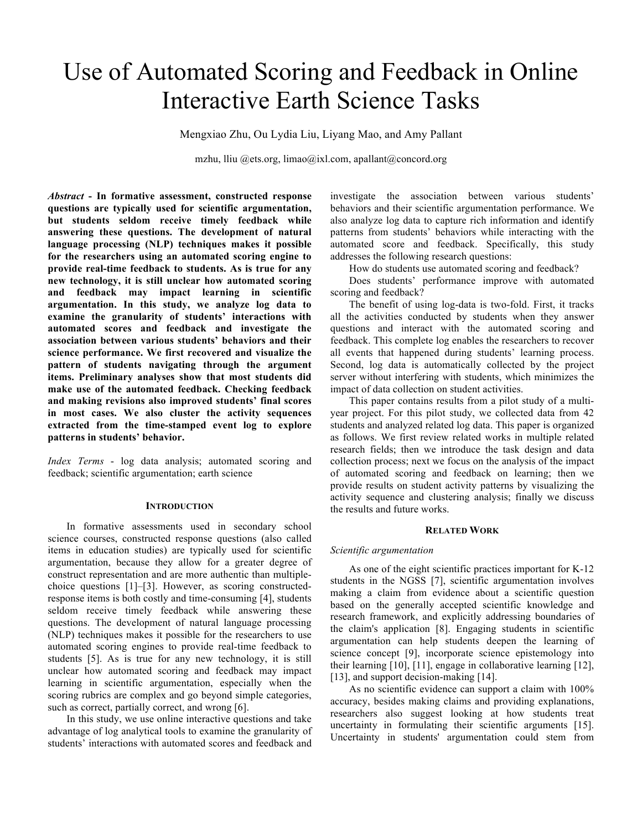# Use of Automated Scoring and Feedback in Online Interactive Earth Science Tasks

Mengxiao Zhu, Ou Lydia Liu, Liyang Mao, and Amy Pallant

mzhu, lliu @ets.org, limao@ixl.com, apallant@concord.org

*Abstract* **- In formative assessment, constructed response questions are typically used for scientific argumentation, but students seldom receive timely feedback while answering these questions. The development of natural language processing (NLP) techniques makes it possible for the researchers using an automated scoring engine to provide real-time feedback to students. As is true for any new technology, it is still unclear how automated scoring and feedback may impact learning in scientific argumentation. In this study, we analyze log data to examine the granularity of students' interactions with automated scores and feedback and investigate the association between various students' behaviors and their science performance. We first recovered and visualize the pattern of students navigating through the argument items. Preliminary analyses show that most students did make use of the automated feedback. Checking feedback and making revisions also improved students' final scores in most cases. We also cluster the activity sequences extracted from the time-stamped event log to explore patterns in students' behavior.**

*Index Terms* - log data analysis; automated scoring and feedback; scientific argumentation; earth science

#### **INTRODUCTION**

In formative assessments used in secondary school science courses, constructed response questions (also called items in education studies) are typically used for scientific argumentation, because they allow for a greater degree of construct representation and are more authentic than multiplechoice questions [1]–[3]. However, as scoring constructedresponse items is both costly and time-consuming [4], students seldom receive timely feedback while answering these questions. The development of natural language processing (NLP) techniques makes it possible for the researchers to use automated scoring engines to provide real-time feedback to students [5]. As is true for any new technology, it is still unclear how automated scoring and feedback may impact learning in scientific argumentation, especially when the scoring rubrics are complex and go beyond simple categories, such as correct, partially correct, and wrong [6].

In this study, we use online interactive questions and take advantage of log analytical tools to examine the granularity of students' interactions with automated scores and feedback and

investigate the association between various students' behaviors and their scientific argumentation performance. We also analyze log data to capture rich information and identify patterns from students' behaviors while interacting with the automated score and feedback. Specifically, this study addresses the following research questions:

How do students use automated scoring and feedback?

Does students' performance improve with automated scoring and feedback?

The benefit of using log-data is two-fold. First, it tracks all the activities conducted by students when they answer questions and interact with the automated scoring and feedback. This complete log enables the researchers to recover all events that happened during students' learning process. Second, log data is automatically collected by the project server without interfering with students, which minimizes the impact of data collection on student activities.

This paper contains results from a pilot study of a multiyear project. For this pilot study, we collected data from 42 students and analyzed related log data. This paper is organized as follows. We first review related works in multiple related research fields; then we introduce the task design and data collection process; next we focus on the analysis of the impact of automated scoring and feedback on learning; then we provide results on student activity patterns by visualizing the activity sequence and clustering analysis; finally we discuss the results and future works.

## **RELATED WORK**

# *Scientific argumentation*

As one of the eight scientific practices important for K-12 students in the NGSS [7], scientific argumentation involves making a claim from evidence about a scientific question based on the generally accepted scientific knowledge and research framework, and explicitly addressing boundaries of the claim's application [8]. Engaging students in scientific argumentation can help students deepen the learning of science concept [9], incorporate science epistemology into their learning [10], [11], engage in collaborative learning [12], [13], and support decision-making [14].

As no scientific evidence can support a claim with 100% accuracy, besides making claims and providing explanations, researchers also suggest looking at how students treat uncertainty in formulating their scientific arguments [15]. Uncertainty in students' argumentation could stem from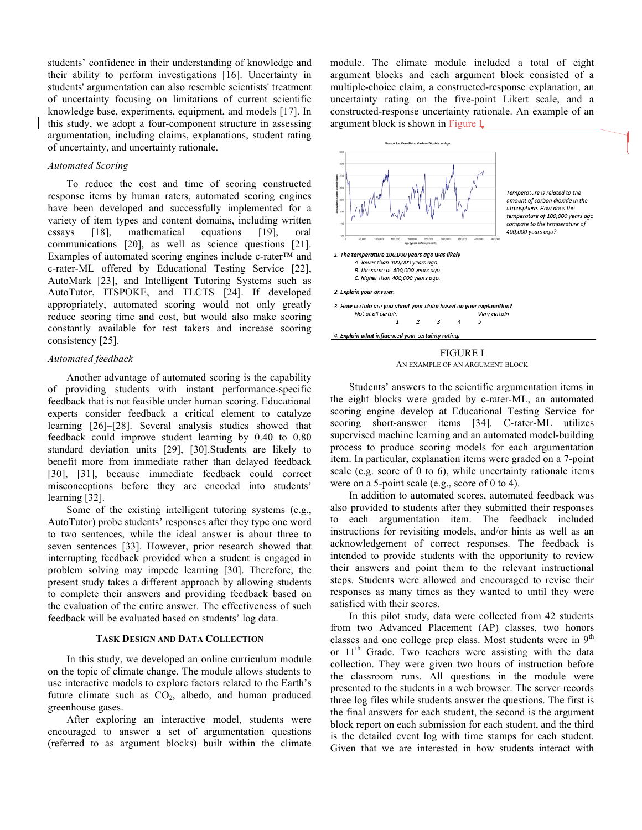students' confidence in their understanding of knowledge and their ability to perform investigations [16]. Uncertainty in students' argumentation can also resemble scientists' treatment of uncertainty focusing on limitations of current scientific knowledge base, experiments, equipment, and models [17]. In this study, we adopt a four-component structure in assessing argumentation, including claims, explanations, student rating of uncertainty, and uncertainty rationale.

# *Automated Scoring*

To reduce the cost and time of scoring constructed response items by human raters, automated scoring engines have been developed and successfully implemented for a variety of item types and content domains, including written essays [18], mathematical equations [19], oral communications [20], as well as science questions [21]. Examples of automated scoring engines include c-rater™ and c-rater-ML offered by Educational Testing Service [22], AutoMark [23], and Intelligent Tutoring Systems such as AutoTutor, ITSPOKE, and TLCTS [24]. If developed appropriately, automated scoring would not only greatly reduce scoring time and cost, but would also make scoring constantly available for test takers and increase scoring consistency [25].

#### *Automated feedback*

Another advantage of automated scoring is the capability of providing students with instant performance-specific feedback that is not feasible under human scoring. Educational experts consider feedback a critical element to catalyze learning [26]–[28]. Several analysis studies showed that feedback could improve student learning by 0.40 to 0.80 standard deviation units [29], [30].Students are likely to benefit more from immediate rather than delayed feedback [30], [31], because immediate feedback could correct misconceptions before they are encoded into students' learning [32].

Some of the existing intelligent tutoring systems (e.g., AutoTutor) probe students' responses after they type one word to two sentences, while the ideal answer is about three to seven sentences [33]. However, prior research showed that interrupting feedback provided when a student is engaged in problem solving may impede learning [30]. Therefore, the present study takes a different approach by allowing students to complete their answers and providing feedback based on the evaluation of the entire answer. The effectiveness of such feedback will be evaluated based on students' log data.

## **TASK DESIGN AND DATA COLLECTION**

In this study, we developed an online curriculum module on the topic of climate change. The module allows students to use interactive models to explore factors related to the Earth's future climate such as  $CO<sub>2</sub>$ , albedo, and human produced greenhouse gases.

After exploring an interactive model, students were encouraged to answer a set of argumentation questions (referred to as argument blocks) built within the climate

module. The climate module included a total of eight argument blocks and each argument block consisted of a multiple-choice claim, a constructed-response explanation, an uncertainty rating on the five-point Likert scale, and a constructed-response uncertainty rationale. An example of an argument block is shown in Figure I.



4. Explain what influenced your certainty rating.

FIGURE I AN EXAMPLE OF AN ARGUMENT BLOCK

Students' answers to the scientific argumentation items in the eight blocks were graded by c-rater-ML, an automated scoring engine develop at Educational Testing Service for scoring short-answer items [34]. C-rater-ML utilizes supervised machine learning and an automated model-building process to produce scoring models for each argumentation item. In particular, explanation items were graded on a 7-point scale (e.g. score of 0 to 6), while uncertainty rationale items were on a 5-point scale (e.g., score of 0 to 4).

In addition to automated scores, automated feedback was also provided to students after they submitted their responses to each argumentation item. The feedback included instructions for revisiting models, and/or hints as well as an acknowledgement of correct responses. The feedback is intended to provide students with the opportunity to review their answers and point them to the relevant instructional steps. Students were allowed and encouraged to revise their responses as many times as they wanted to until they were satisfied with their scores.

In this pilot study, data were collected from 42 students from two Advanced Placement (AP) classes, two honors classes and one college prep class. Most students were in 9<sup>th</sup> or 11<sup>th</sup> Grade. Two teachers were assisting with the data collection. They were given two hours of instruction before the classroom runs. All questions in the module were presented to the students in a web browser. The server records three log files while students answer the questions. The first is the final answers for each student, the second is the argument block report on each submission for each student, and the third is the detailed event log with time stamps for each student. Given that we are interested in how students interact with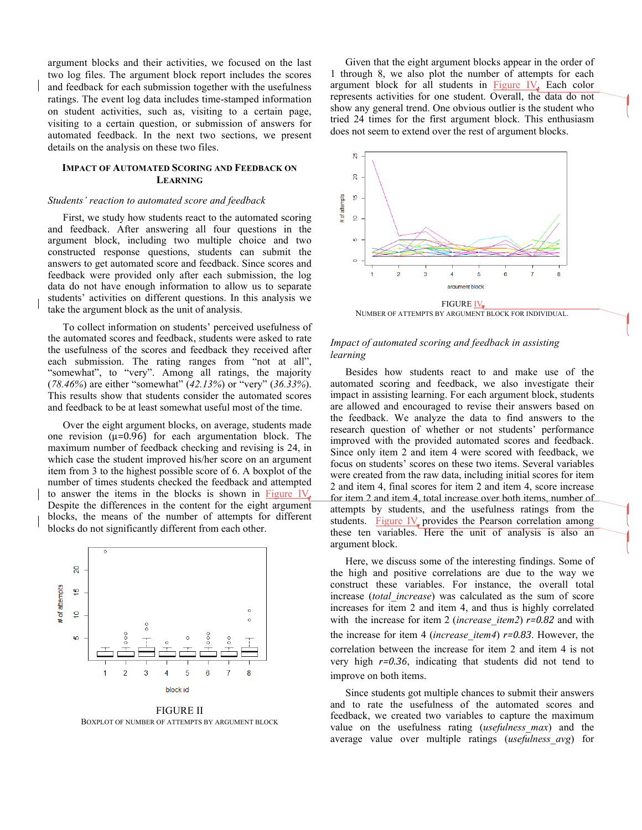argument blocks and their activities, we focused on the last two log files. The argument block report includes the scores and feedback for each submission together with the usefulness ratings. The event log data includes time-stamped information on student activities, such as, visiting to a certain page, visiting to a certain question, or submission of answers for automated feedback. In the next two sections, we present details on the analysis on these two files.

# **IMPACT OF AUTOMATED SCORING AND FEEDBACK ON LEARNING**

## *Students' reaction to automated score and feedback*

First, we study how students react to the automated scoring and feedback. After answering all four questions in the argument block, including two multiple choice and two constructed response questions, students can submit the answers to get automated score and feedback. Since scores and feedback were provided only after each submission, the log data do not have enough information to allow us to separate students' activities on different questions. In this analysis we take the argument block as the unit of analysis.

To collect information on students' perceived usefulness of the automated scores and feedback, students were asked to rate the usefulness of the scores and feedback they received after each submission. The rating ranges from "not at all", "somewhat", to "very". Among all ratings, the majority (*78.46%*) are either "somewhat" (*42.13%*) or "very" (*36.33%*). This results show that students consider the automated scores and feedback to be at least somewhat useful most of the time.

Over the eight argument blocks, on average, students made one revision  $(\mu=0.96)$  for each argumentation block. The maximum number of feedback checking and revising is 24, in which case the student improved his/her score on an argument item from 3 to the highest possible score of 6. A boxplot of the number of times students checked the feedback and attempted to answer the items in the blocks is shown in Figure IV. Despite the differences in the content for the eight argument blocks, the means of the number of attempts for different blocks do not significantly different from each other.



FIGURE II BOXPLOT OF NUMBER OF ATTEMPTS BY ARGUMENT BLOCK

Given that the eight argument blocks appear in the order of 1 through 8, we also plot the number of attempts for each argument block for all students in Figure IV. Each color represents activities for one student. Overall, the data do not show any general trend. One obvious outlier is the student who tried 24 times for the first argument block. This enthusiasm does not seem to extend over the rest of argument blocks.



NUMBER OF ATTEMPTS BY ARGUMENT BLOCK FOR INDIVIDUAL.

# *Impact of automated scoring and feedback in assisting learning*

Besides how students react to and make use of the automated scoring and feedback, we also investigate their impact in assisting learning. For each argument block, students are allowed and encouraged to revise their answers based on the feedback. We analyze the data to find answers to the research question of whether or not students' performance improved with the provided automated scores and feedback. Since only item 2 and item 4 were scored with feedback, we focus on students' scores on these two items. Several variables were created from the raw data, including initial scores for item 2 and item 4, final scores for item 2 and item 4, score increase for item 2 and item 4, total increase over both items, number of attempts by students, and the usefulness ratings from the students. Figure IV provides the Pearson correlation among these ten variables. Here the unit of analysis is also an argument block.

Here, we discuss some of the interesting findings. Some of the high and positive correlations are due to the way we construct these variables. For instance, the overall total increase (*total\_increase*) was calculated as the sum of score increases for item 2 and item 4, and thus is highly correlated with the increase for item 2 (*increase item2*)  $r=0.82$  and with the increase for item 4 (*increase item4*)  $r=0.83$ . However, the correlation between the increase for item 2 and item 4 is not very high *=0.36*, indicating that students did not tend to improve on both items.

Since students got multiple chances to submit their answers and to rate the usefulness of the automated scores and feedback, we created two variables to capture the maximum value on the usefulness rating (*usefulness\_max*) and the average value over multiple ratings (*usefulness\_avg*) for

**Deleted:** Figure III

**Deleted:** III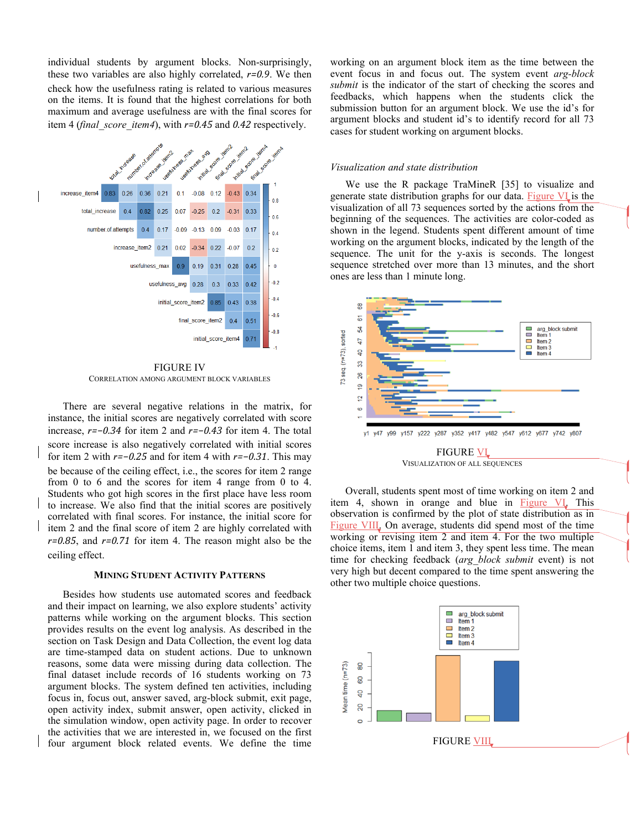individual students by argument blocks. Non-surprisingly, these two variables are also highly correlated,  $r=0.9$ . We then check how the usefulness rating is related to various measures on the items. It is found that the highest correlations for both maximum and average usefulness are with the final scores for item 4 *(final score item4)*, with  $r=0.45$  and 0.42 respectively.



FIGURE IV CORRELATION AMONG ARGUMENT BLOCK VARIABLES

There are several negative relations in the matrix, for instance, the initial scores are negatively correlated with score increase, *=−0.34* for item 2 and *=−0.43* for item 4. The total score increase is also negatively correlated with initial scores for item 2 with *=−0.25* and for item 4 with *=−0.31*. This may be because of the ceiling effect, i.e., the scores for item 2 range from 0 to 6 and the scores for item 4 range from 0 to 4. Students who got high scores in the first place have less room to increase. We also find that the initial scores are positively correlated with final scores. For instance, the initial score for item 2 and the final score of item 2 are highly correlated with  $r=0.85$ , and  $r=0.71$  for item 4. The reason might also be the ceiling effect.

## **MINING STUDENT ACTIVITY PATTERNS**

Besides how students use automated scores and feedback and their impact on learning, we also explore students' activity patterns while working on the argument blocks. This section provides results on the event log analysis. As described in the section on Task Design and Data Collection, the event log data are time-stamped data on student actions. Due to unknown reasons, some data were missing during data collection. The final dataset include records of 16 students working on 73 argument blocks. The system defined ten activities, including focus in, focus out, answer saved, arg-block submit, exit page, open activity index, submit answer, open activity, clicked in the simulation window, open activity page. In order to recover the activities that we are interested in, we focused on the first four argument block related events. We define the time

working on an argument block item as the time between the event focus in and focus out. The system event *arg-block submit* is the indicator of the start of checking the scores and feedbacks, which happens when the students click the submission button for an argument block. We use the id's for argument blocks and student id's to identify record for all 73 cases for student working on argument blocks.

#### *Visualization and state distribution*

We use the R package TraMineR [35] to visualize and generate state distribution graphs for our data. Figure VI is the visualization of all 73 sequences sorted by the actions from the beginning of the sequences. The activities are color-coded as shown in the legend. Students spent different amount of time working on the argument blocks, indicated by the length of the sequence. The unit for the y-axis is seconds. The longest sequence stretched over more than 13 minutes, and the short ones are less than 1 minute long.



VISUALIZATION OF ALL SEQUENCES

Overall, students spent most of time working on item 2 and item 4, shown in orange and blue in Figure VI. This observation is confirmed by the plot of state distribution as in Figure VIII. On average, students did spend most of the time working or revising item 2 and item 4. For the two multiple choice items, item 1 and item 3, they spent less time. The mean time for checking feedback (*arg\_block submit* event) is not very high but decent compared to the time spent answering the other two multiple choice questions.



De

**Deleted:** V

**Deleted:** Figure V

De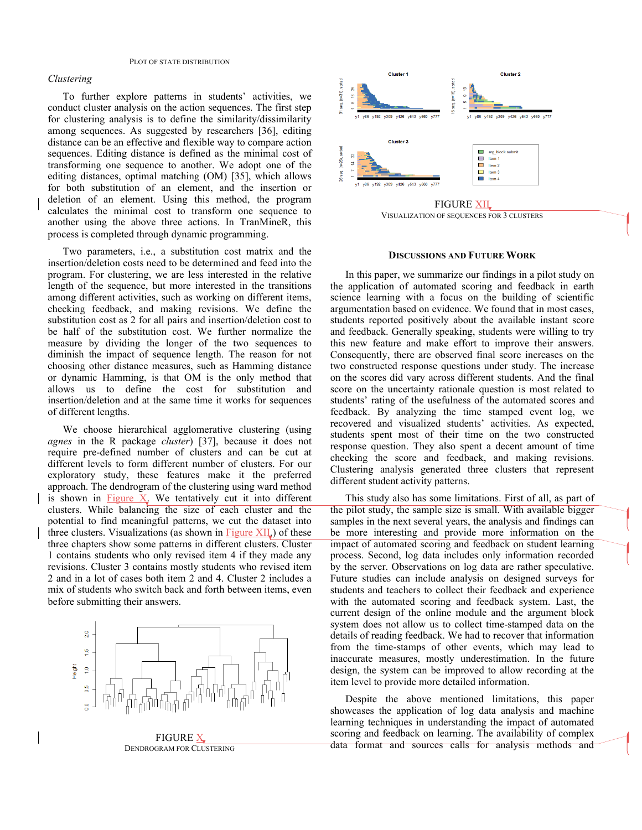# *Clustering*

To further explore patterns in students' activities, we conduct cluster analysis on the action sequences. The first step for clustering analysis is to define the similarity/dissimilarity among sequences. As suggested by researchers [36], editing distance can be an effective and flexible way to compare action sequences. Editing distance is defined as the minimal cost of transforming one sequence to another. We adopt one of the editing distances, optimal matching (OM) [35], which allows for both substitution of an element, and the insertion or deletion of an element. Using this method, the program calculates the minimal cost to transform one sequence to another using the above three actions. In TranMineR, this process is completed through dynamic programming.

Two parameters, i.e., a substitution cost matrix and the insertion/deletion costs need to be determined and feed into the program. For clustering, we are less interested in the relative length of the sequence, but more interested in the transitions among different activities, such as working on different items, checking feedback, and making revisions. We define the substitution cost as 2 for all pairs and insertion/deletion cost to be half of the substitution cost. We further normalize the measure by dividing the longer of the two sequences to diminish the impact of sequence length. The reason for not choosing other distance measures, such as Hamming distance or dynamic Hamming, is that OM is the only method that allows us to define the cost for substitution and insertion/deletion and at the same time it works for sequences of different lengths.

We choose hierarchical agglomerative clustering (using *agnes* in the R package *cluster*) [37], because it does not require pre-defined number of clusters and can be cut at different levels to form different number of clusters. For our exploratory study, these features make it the preferred approach. The dendrogram of the clustering using ward method is shown in  $Figure X$ . We tentatively cut it into different clusters. While balancing the size of each cluster and the potential to find meaningful patterns, we cut the dataset into three clusters. Visualizations (as shown in Figure XII.) of these three chapters show some patterns in different clusters. Cluster 1 contains students who only revised item 4 if they made any revisions. Cluster 3 contains mostly students who revised item 2 and in a lot of cases both item 2 and 4. Cluster 2 includes a mix of students who switch back and forth between items, even before submitting their answers.



DENDROGRAM FOR CLUSTERING



VISUALIZATION OF SEQUENCES FOR 3 CLUSTERS

#### **DISCUSSIONS AND FUTURE WORK**

In this paper, we summarize our findings in a pilot study on the application of automated scoring and feedback in earth science learning with a focus on the building of scientific argumentation based on evidence. We found that in most cases, students reported positively about the available instant score and feedback. Generally speaking, students were willing to try this new feature and make effort to improve their answers. Consequently, there are observed final score increases on the two constructed response questions under study. The increase on the scores did vary across different students. And the final score on the uncertainty rationale question is most related to students' rating of the usefulness of the automated scores and feedback. By analyzing the time stamped event log, we recovered and visualized students' activities. As expected, students spent most of their time on the two constructed response question. They also spent a decent amount of time checking the score and feedback, and making revisions. Clustering analysis generated three clusters that represent different student activity patterns.

This study also has some limitations. First of all, as part of the pilot study, the sample size is small. With available bigger samples in the next several years, the analysis and findings can be more interesting and provide more information on the impact of automated scoring and feedback on student learning process. Second, log data includes only information recorded by the server. Observations on log data are rather speculative. Future studies can include analysis on designed surveys for students and teachers to collect their feedback and experience with the automated scoring and feedback system. Last, the current design of the online module and the argument block system does not allow us to collect time-stamped data on the details of reading feedback. We had to recover that information from the time-stamps of other events, which may lead to inaccurate measures, mostly underestimation. In the future design, the system can be improved to allow recording at the item level to provide more detailed information.

Despite the above mentioned limitations, this paper showcases the application of log data analysis and machine learning techniques in understanding the impact of automated scoring and feedback on learning. The availability of complex data format and sources calls for analysis methods and **Deleted:** Figure VIII

**Deleted:** VIII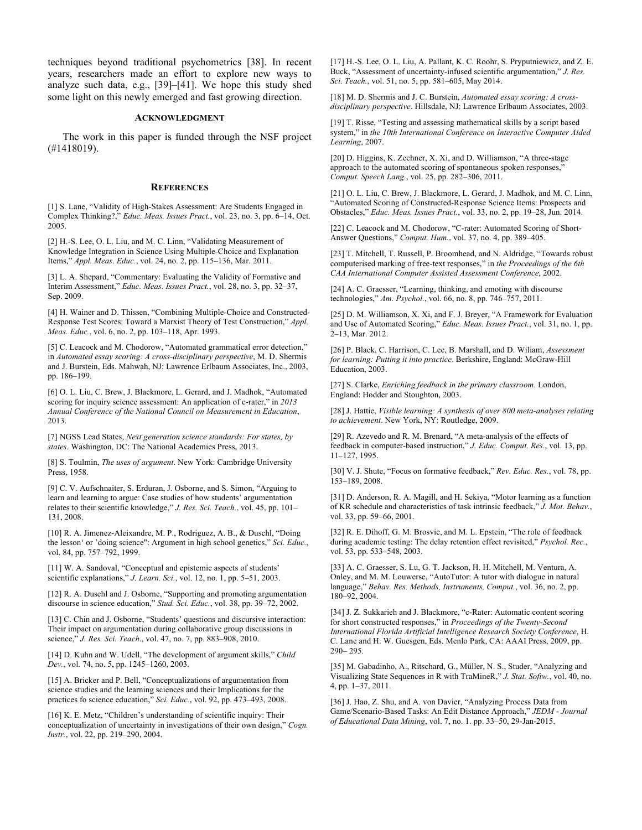techniques beyond traditional psychometrics [38]. In recent years, researchers made an effort to explore new ways to analyze such data, e.g., [39]–[41]. We hope this study shed some light on this newly emerged and fast growing direction.

#### **ACKNOWLEDGMENT**

The work in this paper is funded through the NSF project (#1418019).

#### **REFERENCES**

[1] S. Lane, "Validity of High-Stakes Assessment: Are Students Engaged in Complex Thinking?," *Educ. Meas. Issues Pract.*, vol. 23, no. 3, pp. 6–14, Oct. 2005.

[2] H.-S. Lee, O. L. Liu, and M. C. Linn, "Validating Measurement of Knowledge Integration in Science Using Multiple-Choice and Explanation Items," *Appl. Meas. Educ.*, vol. 24, no. 2, pp. 115–136, Mar. 2011.

[3] L. A. Shepard, "Commentary: Evaluating the Validity of Formative and Interim Assessment," *Educ. Meas. Issues Pract.*, vol. 28, no. 3, pp. 32–37, Sep. 2009.

[4] H. Wainer and D. Thissen, "Combining Multiple-Choice and Constructed-Response Test Scores: Toward a Marxist Theory of Test Construction," *Appl. Meas. Educ.*, vol. 6, no. 2, pp. 103–118, Apr. 1993.

[5] C. Leacock and M. Chodorow, "Automated grammatical error detection," in *Automated essay scoring: A cross-disciplinary perspective*, M. D. Shermis and J. Burstein, Eds. Mahwah, NJ: Lawrence Erlbaum Associates, Inc., 2003, pp. 186–199.

[6] O. L. Liu, C. Brew, J. Blackmore, L. Gerard, and J. Madhok, "Automated scoring for inquiry science assessment: An application of c-rater," in *2013 Annual Conference of the National Council on Measurement in Education*, 2013.

[7] NGSS Lead States, *Next generation science standards: For states, by states*. Washington, DC: The National Academies Press, 2013.

[8] S. Toulmin, *The uses of argument*. New York: Cambridge University Press, 1958.

[9] C. V. Aufschnaiter, S. Erduran, J. Osborne, and S. Simon, "Arguing to learn and learning to argue: Case studies of how students' argumentation relates to their scientific knowledge," *J. Res. Sci. Teach.*, vol. 45, pp. 101– 131, 2008.

[10] R. A. Jimenez-Aleixandre, M. P., Rodriguez, A. B., & Duschl, "Doing the lesson' or 'doing science": Argument in high school genetics," *Sci. Educ.*, vol. 84, pp. 757–792, 1999.

[11] W. A. Sandoval, "Conceptual and epistemic aspects of students' scientific explanations," *J. Learn. Sci.*, vol. 12, no. 1, pp. 5–51, 2003.

[12] R. A. Duschl and J. Osborne, "Supporting and promoting argumentation discourse in science education," *Stud. Sci. Educ.*, vol. 38, pp. 39–72, 2002.

[13] C. Chin and J. Osborne, "Students' questions and discursive interaction: Their impact on argumentation during collaborative group discussions in science," *J. Res. Sci. Teach.*, vol. 47, no. 7, pp. 883–908, 2010.

[14] D. Kuhn and W. Udell, "The development of argument skills," *Child Dev.*, vol. 74, no. 5, pp. 1245–1260, 2003.

[15] A. Bricker and P. Bell, "Conceptualizations of argumentation from science studies and the learning sciences and their Implications for the practices fo science education," *Sci. Educ.*, vol. 92, pp. 473–493, 2008.

[16] K. E. Metz, "Children's understanding of scientific inquiry: Their conceptualization of uncertainty in investigations of their own design," *Cogn. Instr.*, vol. 22, pp. 219–290, 2004.

[17] H.-S. Lee, O. L. Liu, A. Pallant, K. C. Roohr, S. Pryputniewicz, and Z. E. Buck, "Assessment of uncertainty-infused scientific argumentation," *J. Res. Sci. Teach.*, vol. 51, no. 5, pp. 581–605, May 2014.

[18] M. D. Shermis and J. C. Burstein, *Automated essay scoring: A crossdisciplinary perspective*. Hillsdale, NJ: Lawrence Erlbaum Associates, 2003.

[19] T. Risse, "Testing and assessing mathematical skills by a script based system," in *the 10th International Conference on Interactive Computer Aided Learning*, 2007.

[20] D. Higgins, K. Zechner, X. Xi, and D. Williamson, "A three-stage approach to the automated scoring of spontaneous spoken responses," *Comput. Speech Lang.*, vol. 25, pp. 282–306, 2011.

[21] O. L. Liu, C. Brew, J. Blackmore, L. Gerard, J. Madhok, and M. C. Linn, "Automated Scoring of Constructed-Response Science Items: Prospects and Obstacles," *Educ. Meas. Issues Pract.*, vol. 33, no. 2, pp. 19–28, Jun. 2014.

[22] C. Leacock and M. Chodorow, "C-rater: Automated Scoring of Short-Answer Questions," *Comput. Hum.*, vol. 37, no. 4, pp. 389–405.

[23] T. Mitchell, T. Russell, P. Broomhead, and N. Aldridge, "Towards robust computerised marking of free-text responses," in *the Proceedings of the 6th CAA International Computer Assisted Assessment Conference*, 2002.

[24] A. C. Graesser, "Learning, thinking, and emoting with discourse technologies," *Am. Psychol.*, vol. 66, no. 8, pp. 746–757, 2011.

[25] D. M. Williamson, X. Xi, and F. J. Breyer, "A Framework for Evaluation and Use of Automated Scoring," *Educ. Meas. Issues Pract.*, vol. 31, no. 1, pp. 2–13, Mar. 2012.

[26] P. Black, C. Harrison, C. Lee, B. Marshall, and D. Wiliam, *Assessment for learning: Putting it into practice*. Berkshire, England: McGraw-Hill Education, 2003.

[27] S. Clarke, *Enriching feedback in the primary classroom*. London, England: Hodder and Stoughton, 2003.

[28] J. Hattie, *Visible learning: A synthesis of over 800 meta-analyses relating to achievement*. New York, NY: Routledge, 2009.

[29] R. Azevedo and R. M. Brenard, "A meta-analysis of the effects of feedback in computer-based instruction," *J. Educ. Comput. Res.*, vol. 13, pp. 11–127, 1995.

[30] V. J. Shute, "Focus on formative feedback," *Rev. Educ. Res.*, vol. 78, pp. 153–189, 2008.

[31] D. Anderson, R. A. Magill, and H. Sekiya, "Motor learning as a function of KR schedule and characteristics of task intrinsic feedback," *J. Mot. Behav.*, vol. 33, pp. 59–66, 2001.

[32] R. E. Dihoff, G. M. Brosvic, and M. L. Epstein, "The role of feedback during academic testing: The delay retention effect revisited," *Psychol. Rec.*, vol. 53, pp. 533–548, 2003.

[33] A. C. Graesser, S. Lu, G. T. Jackson, H. H. Mitchell, M. Ventura, A. Onley, and M. M. Louwerse, "AutoTutor: A tutor with dialogue in natural language," *Behav. Res. Methods, Instruments, Comput.*, vol. 36, no. 2, pp. 180–92, 2004.

[34] J. Z. Sukkarieh and J. Blackmore, "c-Rater: Automatic content scoring for short constructed responses," in *Proceedings of the Twenty-Second International Florida Artificial Intelligence Research Society Conference*, H. C. Lane and H. W. Guesgen, Eds. Menlo Park, CA: AAAI Press, 2009, pp. 290– 295.

[35] M. Gabadinho, A., Ritschard, G., Müller, N. S., Studer, "Analyzing and Visualizing State Sequences in R with TraMineR," *J. Stat. Softw.*, vol. 40, no. 4, pp. 1–37, 2011.

[36] J. Hao, Z. Shu, and A. von Davier, "Analyzing Process Data from Game/Scenario-Based Tasks: An Edit Distance Approach," *JEDM - Journal of Educational Data Mining*, vol. 7, no. 1. pp. 33–50, 29-Jan-2015.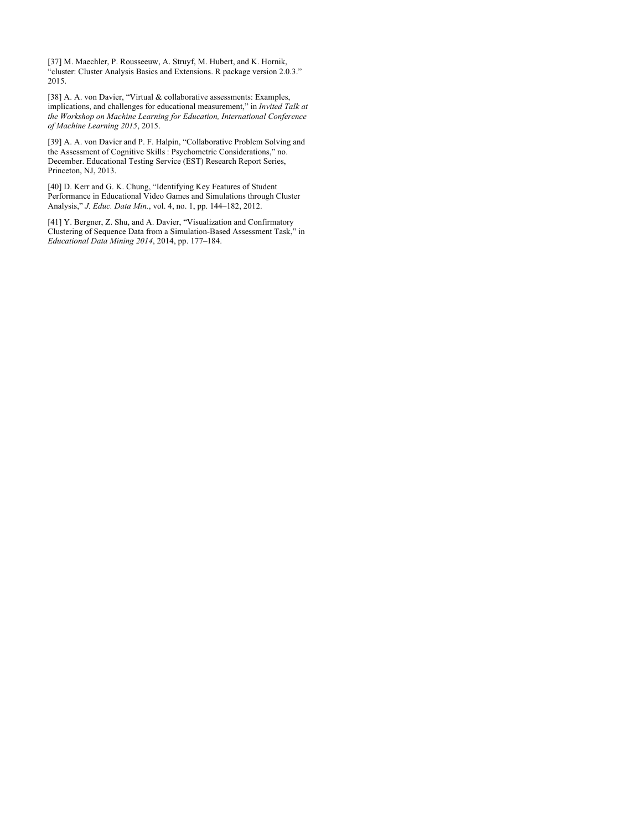[37] M. Maechler, P. Rousseeuw, A. Struyf, M. Hubert, and K. Hornik, "cluster: Cluster Analysis Basics and Extensions. R package version 2.0.3." 2015.

[38] A. A. von Davier, "Virtual & collaborative assessments: Examples, implications, and challenges for educational measurement," in *Invited Talk at the Workshop on Machine Learning for Education, International Conference of Machine Learning 2015*, 2015.

[39] A. A. von Davier and P. F. Halpin, "Collaborative Problem Solving and the Assessment of Cognitive Skills : Psychometric Considerations," no. December. Educational Testing Service (EST) Research Report Series, Princeton, NJ, 2013.

[40] D. Kerr and G. K. Chung, "Identifying Key Features of Student Performance in Educational Video Games and Simulations through Cluster Analysis," *J. Educ. Data Min.*, vol. 4, no. 1, pp. 144–182, 2012.

[41] Y. Bergner, Z. Shu, and A. Davier, "Visualization and Confirmatory Clustering of Sequence Data from a Simulation-Based Assessment Task," in *Educational Data Mining 2014*, 2014, pp. 177–184.